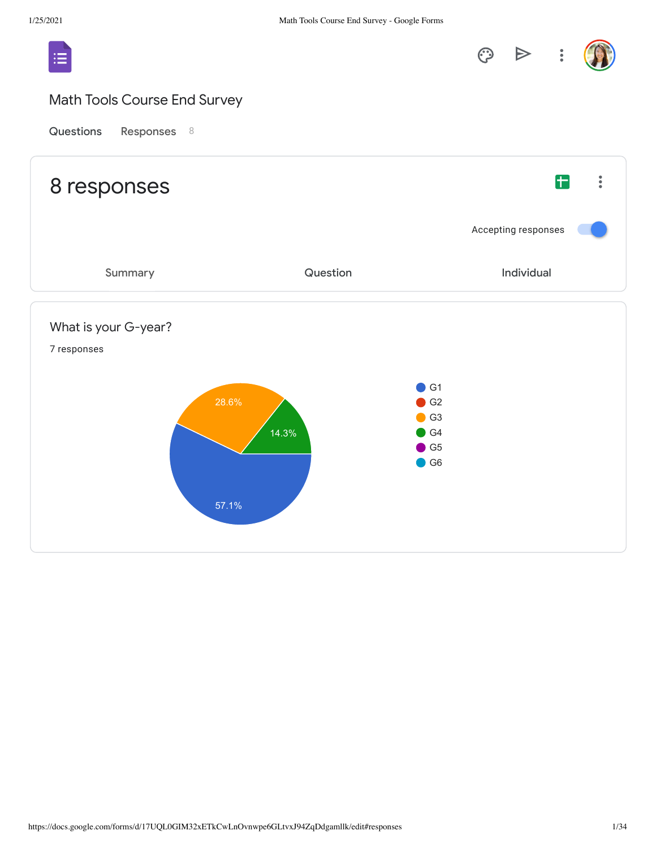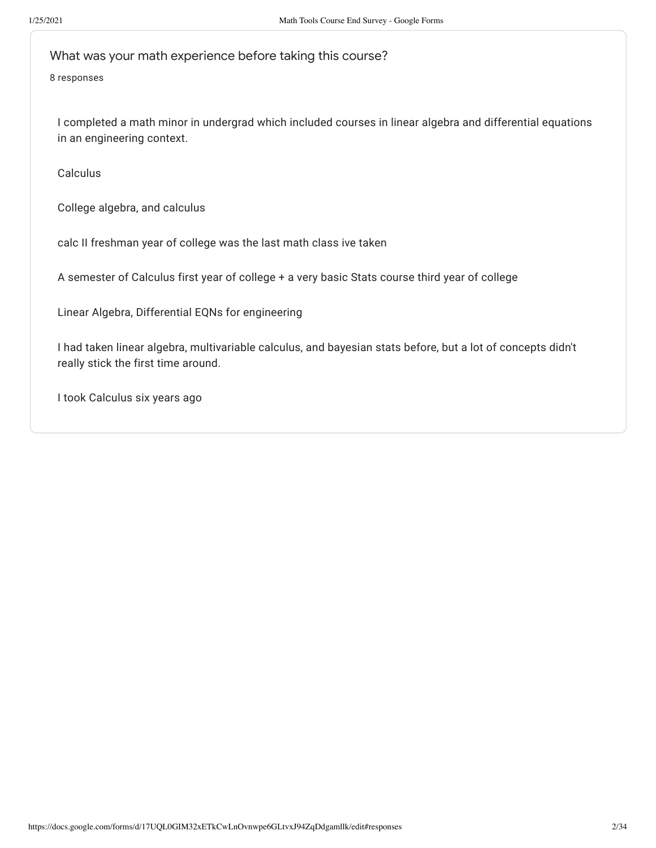What was your math experience before taking this course?

8 responses

I completed a math minor in undergrad which included courses in linear algebra and differential equations in an engineering context.

Calculus

College algebra, and calculus

calc II freshman year of college was the last math class ive taken

A semester of Calculus first year of college + a very basic Stats course third year of college

Linear Algebra, Differential EQNs for engineering

I had taken linear algebra, multivariable calculus, and bayesian stats before, but a lot of concepts didn't really stick the first time around.

I took Calculus six years ago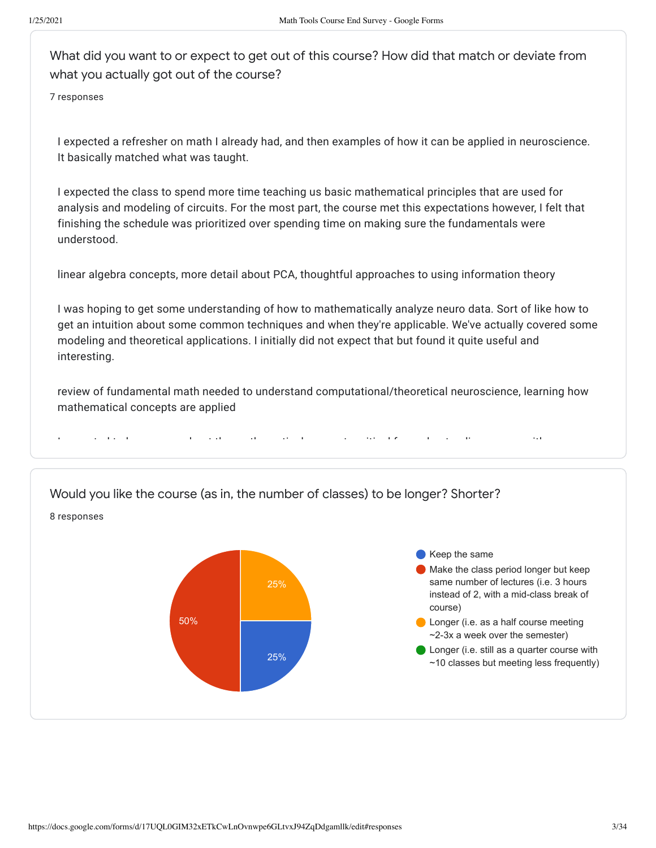What did you want to or expect to get out of this course? How did that match or deviate from what you actually got out of the course?

7 responses

I expected a refresher on math I already had, and then examples of how it can be applied in neuroscience. It basically matched what was taught.

I expected the class to spend more time teaching us basic mathematical principles that are used for analysis and modeling of circuits. For the most part, the course met this expectations however, I felt that finishing the schedule was prioritized over spending time on making sure the fundamentals were understood.

linear algebra concepts, more detail about PCA, thoughtful approaches to using information theory

I was hoping to get some understanding of how to mathematically analyze neuro data. Sort of like how to get an intuition about some common techniques and when they're applicable. We've actually covered some modeling and theoretical applications. I initially did not expect that but found it quite useful and interesting.

review of fundamental math needed to understand computational/theoretical neuroscience, learning how mathematical concepts are applied

I t d t l b t th th ti l t iti l f d t di ith

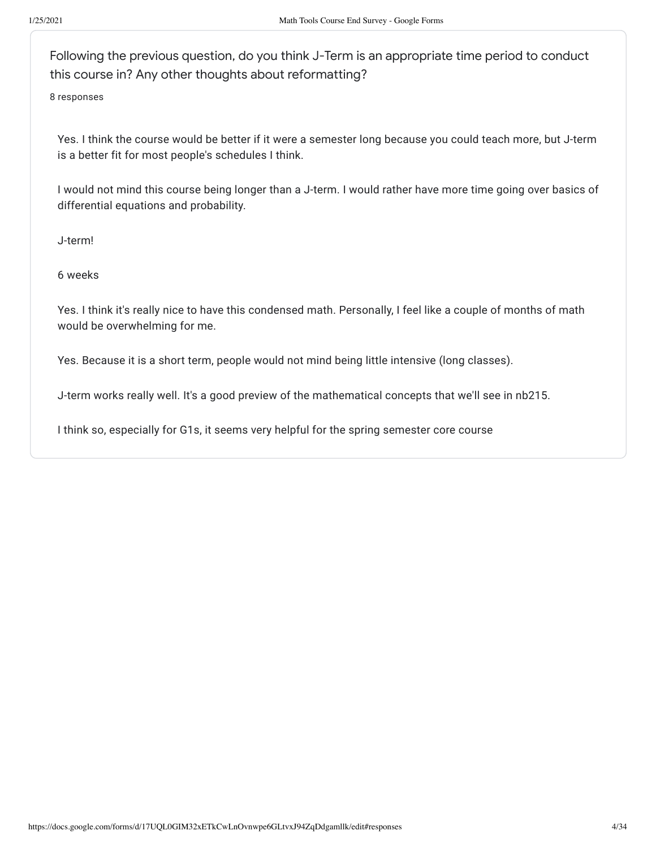Following the previous question, do you think J-Term is an appropriate time period to conduct this course in? Any other thoughts about reformatting?

8 responses

Yes. I think the course would be better if it were a semester long because you could teach more, but J-term is a better fit for most people's schedules I think.

I would not mind this course being longer than a J-term. I would rather have more time going over basics of differential equations and probability.

J-term!

6 weeks

Yes. I think it's really nice to have this condensed math. Personally, I feel like a couple of months of math would be overwhelming for me.

Yes. Because it is a short term, people would not mind being little intensive (long classes).

J-term works really well. It's a good preview of the mathematical concepts that we'll see in nb215.

I think so, especially for G1s, it seems very helpful for the spring semester core course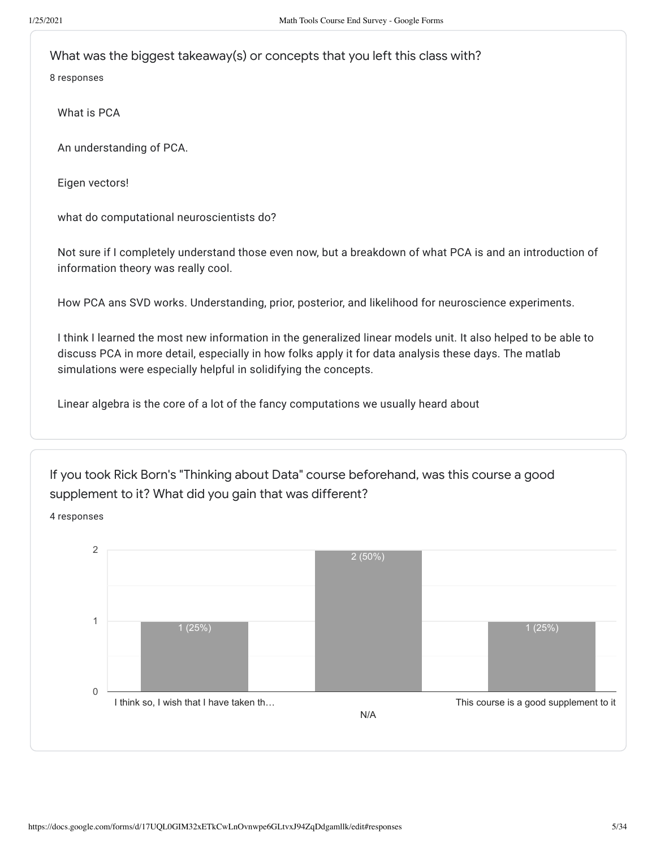What was the biggest takeaway(s) or concepts that you left this class with?

8 responses

What is PCA

An understanding of PCA.

Eigen vectors!

what do computational neuroscientists do?

Not sure if I completely understand those even now, but a breakdown of what PCA is and an introduction of information theory was really cool.

How PCA ans SVD works. Understanding, prior, posterior, and likelihood for neuroscience experiments.

I think I learned the most new information in the generalized linear models unit. It also helped to be able to discuss PCA in more detail, especially in how folks apply it for data analysis these days. The matlab simulations were especially helpful in solidifying the concepts.

Linear algebra is the core of a lot of the fancy computations we usually heard about

If you took Rick Born's "Thinking about Data" course beforehand, was this course a good supplement to it? What did you gain that was different?

4 responses

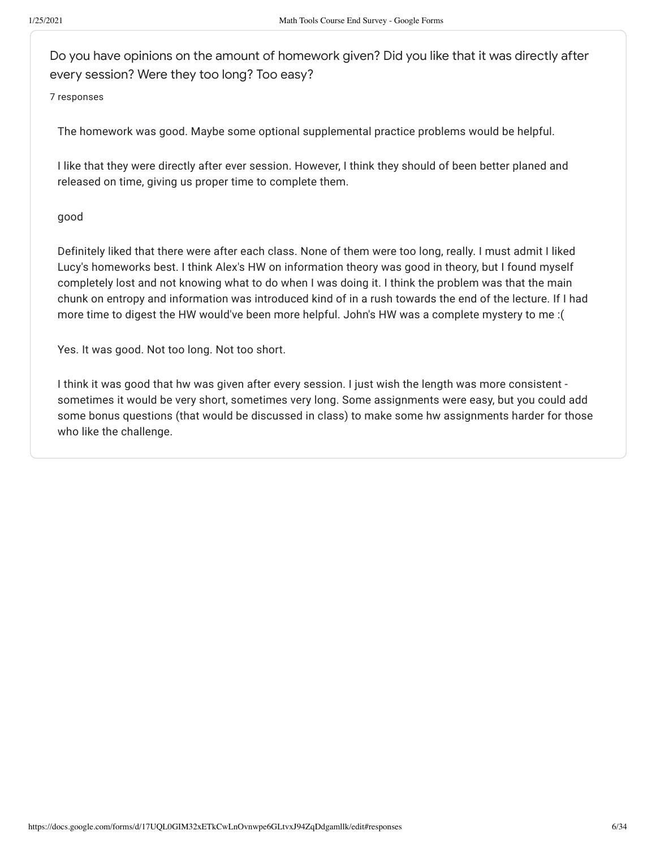Do you have opinions on the amount of homework given? Did you like that it was directly after every session? Were they too long? Too easy?

7 responses

The homework was good. Maybe some optional supplemental practice problems would be helpful.

I like that they were directly after ever session. However, I think they should of been better planed and released on time, giving us proper time to complete them.

## good

Definitely liked that there were after each class. None of them were too long, really. I must admit I liked Lucy's homeworks best. I think Alex's HW on information theory was good in theory, but I found myself completely lost and not knowing what to do when I was doing it. I think the problem was that the main chunk on entropy and information was introduced kind of in a rush towards the end of the lecture. If I had more time to digest the HW would've been more helpful. John's HW was a complete mystery to me :(

Yes. It was good. Not too long. Not too short.

I think it was good that hw was given after every session. I just wish the length was more consistent sometimes it would be very short, sometimes very long. Some assignments were easy, but you could add some bonus questions (that would be discussed in class) to make some hw assignments harder for those who like the challenge.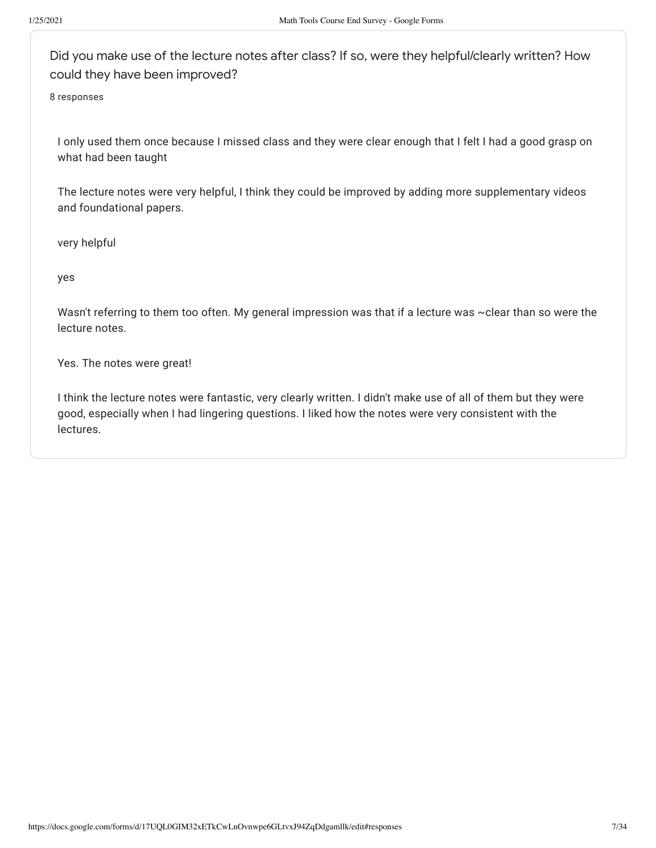Did you make use of the lecture notes after class? If so, were they helpful/clearly written? How could they have been improved?

8 responses

I only used them once because I missed class and they were clear enough that I felt I had a good grasp on what had been taught

The lecture notes were very helpful, I think they could be improved by adding more supplementary videos and foundational papers.

very helpful

yes

Wasn't referring to them too often. My general impression was that if a lecture was ~clear than so were the lecture notes.

Yes. The notes were great!

I think the lecture notes were fantastic, very clearly written. I didn't make use of all of them but they were good, especially when I had lingering questions. I liked how the notes were very consistent with the lectures.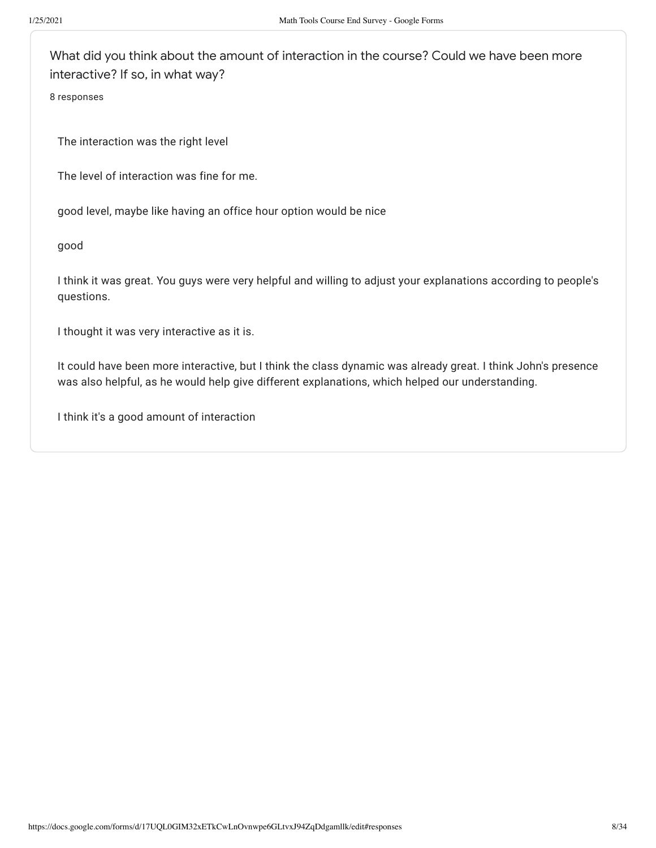What did you think about the amount of interaction in the course? Could we have been more interactive? If so, in what way?

8 responses

The interaction was the right level

The level of interaction was fine for me.

good level, maybe like having an office hour option would be nice

good

I think it was great. You guys were very helpful and willing to adjust your explanations according to people's questions.

I thought it was very interactive as it is.

It could have been more interactive, but I think the class dynamic was already great. I think John's presence was also helpful, as he would help give different explanations, which helped our understanding.

I think it's a good amount of interaction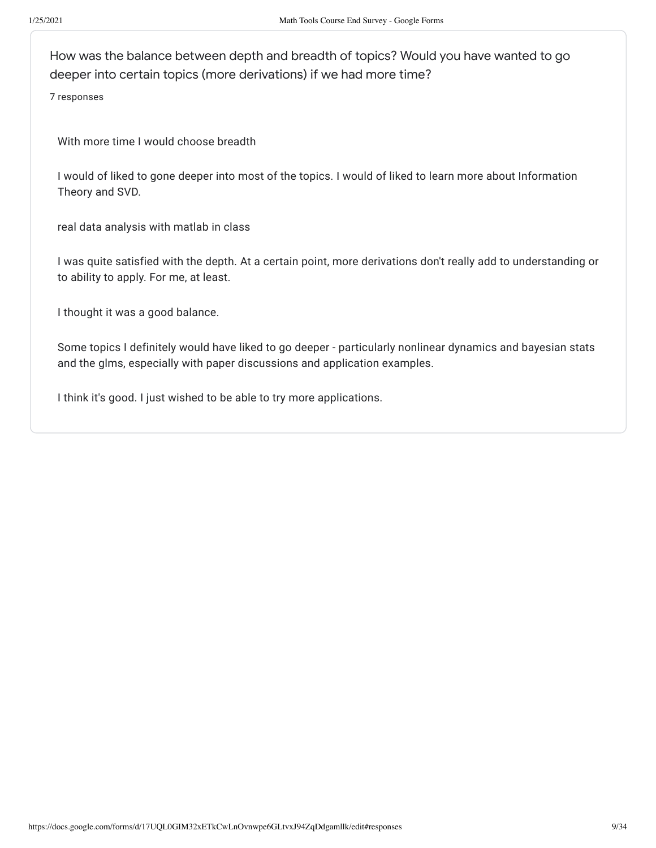How was the balance between depth and breadth of topics? Would you have wanted to go deeper into certain topics (more derivations) if we had more time?

7 responses

With more time I would choose breadth

I would of liked to gone deeper into most of the topics. I would of liked to learn more about Information Theory and SVD.

real data analysis with matlab in class

I was quite satisfied with the depth. At a certain point, more derivations don't really add to understanding or to ability to apply. For me, at least.

I thought it was a good balance.

Some topics I definitely would have liked to go deeper - particularly nonlinear dynamics and bayesian stats and the glms, especially with paper discussions and application examples.

I think it's good. I just wished to be able to try more applications.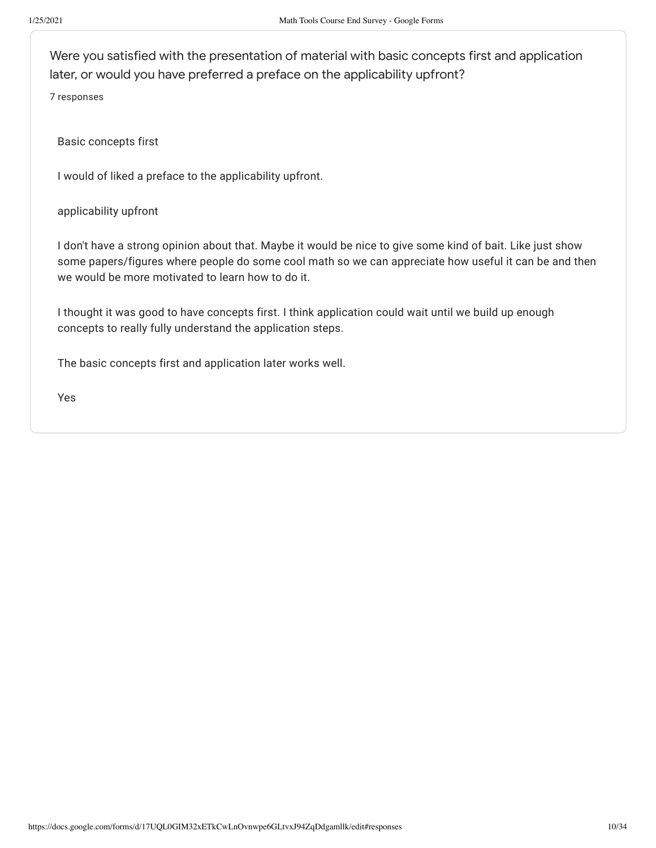Were you satisfied with the presentation of material with basic concepts first and application later, or would you have preferred a preface on the applicability upfront?

7 responses

Basic concepts first

I would of liked a preface to the applicability upfront.

applicability upfront

I don't have a strong opinion about that. Maybe it would be nice to give some kind of bait. Like just show some papers/figures where people do some cool math so we can appreciate how useful it can be and then we would be more motivated to learn how to do it.

I thought it was good to have concepts first. I think application could wait until we build up enough concepts to really fully understand the application steps.

The basic concepts first and application later works well.

Yes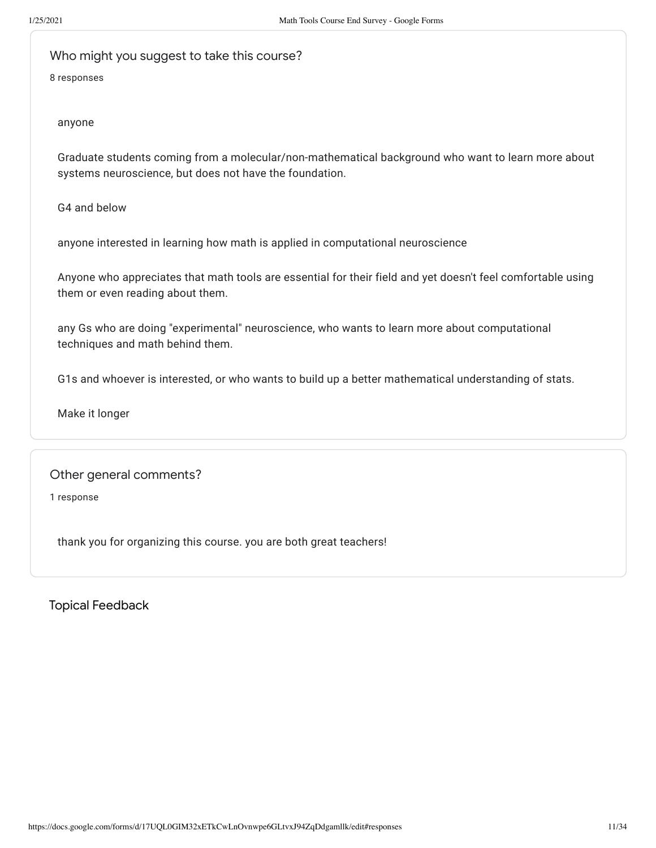Who might you suggest to take this course?

8 responses

### anyone

Graduate students coming from a molecular/non-mathematical background who want to learn more about systems neuroscience, but does not have the foundation.

G4 and below

anyone interested in learning how math is applied in computational neuroscience

Anyone who appreciates that math tools are essential for their field and yet doesn't feel comfortable using them or even reading about them.

any Gs who are doing "experimental" neuroscience, who wants to learn more about computational techniques and math behind them.

G1s and whoever is interested, or who wants to build up a better mathematical understanding of stats.

Make it longer

## Other general comments?

1 response

thank you for organizing this course. you are both great teachers!

Topical Feedback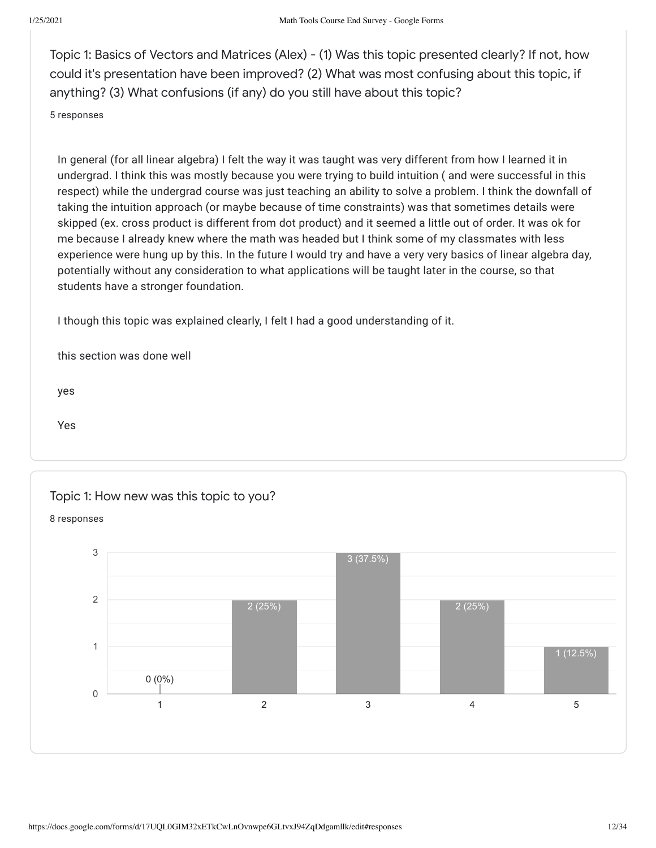Topic 1: Basics of Vectors and Matrices (Alex) - (1) Was this topic presented clearly? If not, how could it's presentation have been improved? (2) What was most confusing about this topic, if anything? (3) What confusions (if any) do you still have about this topic?

#### 5 responses

In general (for all linear algebra) I felt the way it was taught was very different from how I learned it in undergrad. I think this was mostly because you were trying to build intuition ( and were successful in this respect) while the undergrad course was just teaching an ability to solve a problem. I think the downfall of taking the intuition approach (or maybe because of time constraints) was that sometimes details were skipped (ex. cross product is different from dot product) and it seemed a little out of order. It was ok for me because I already knew where the math was headed but I think some of my classmates with less experience were hung up by this. In the future I would try and have a very very basics of linear algebra day, potentially without any consideration to what applications will be taught later in the course, so that students have a stronger foundation.

I though this topic was explained clearly, I felt I had a good understanding of it.

this section was done well

yes

Yes

Topic 1: How new was this topic to you?

8 responses

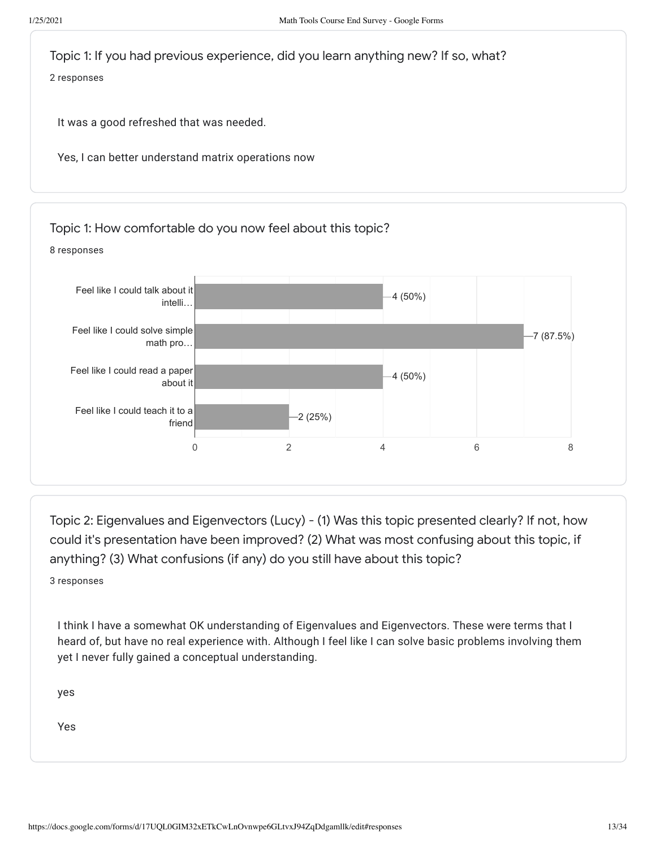

Topic 2: Eigenvalues and Eigenvectors (Lucy) - (1) Was this topic presented clearly? If not, how could it's presentation have been improved? (2) What was most confusing about this topic, if anything? (3) What confusions (if any) do you still have about this topic?

3 responses

I think I have a somewhat OK understanding of Eigenvalues and Eigenvectors. These were terms that I heard of, but have no real experience with. Although I feel like I can solve basic problems involving them yet I never fully gained a conceptual understanding.

yes

Yes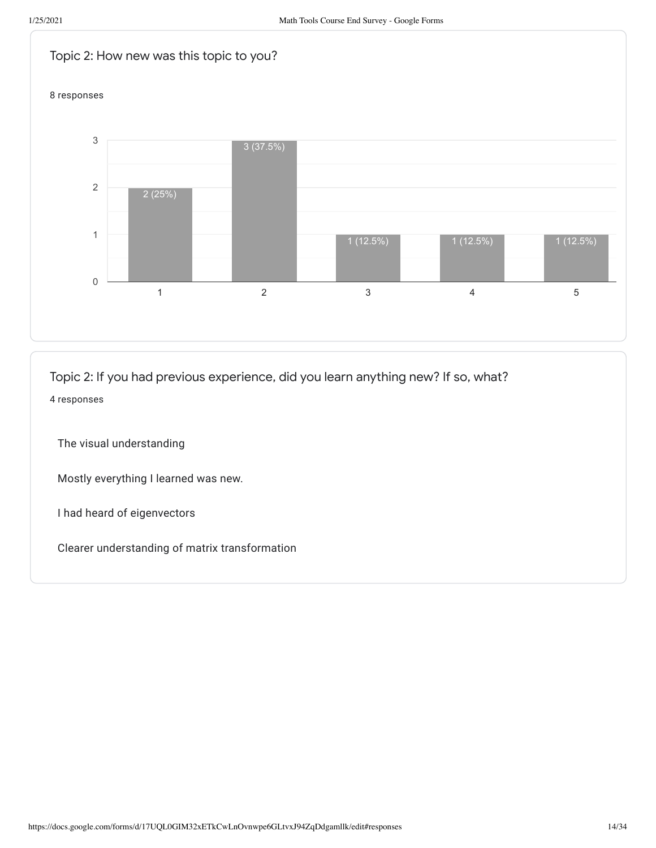

Topic 2: If you had previous experience, did you learn anything new? If so, what? 4 responses

The visual understanding

Mostly everything I learned was new.

I had heard of eigenvectors

Clearer understanding of matrix transformation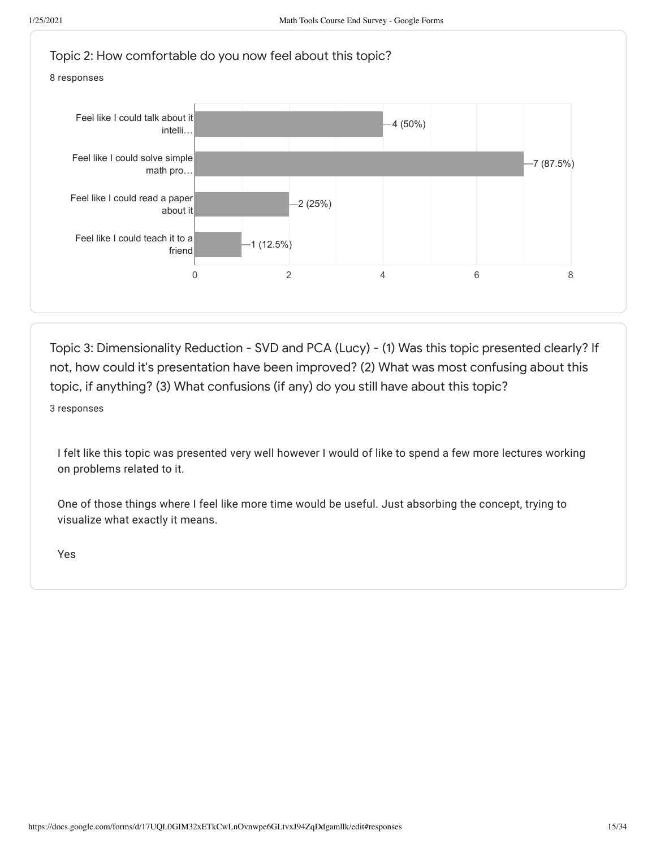

Topic 3: Dimensionality Reduction - SVD and PCA (Lucy) - (1) Was this topic presented clearly? If not, how could it's presentation have been improved? (2) What was most confusing about this topic, if anything? (3) What confusions (if any) do you still have about this topic?

3 responses

I felt like this topic was presented very well however I would of like to spend a few more lectures working on problems related to it.

One of those things where I feel like more time would be useful. Just absorbing the concept, trying to visualize what exactly it means.

Yes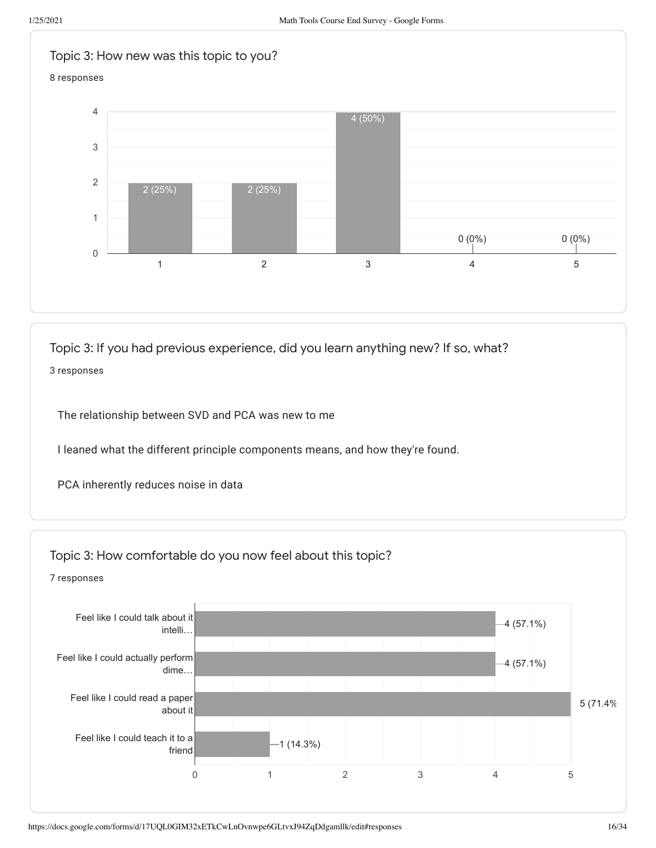

Topic 3: If you had previous experience, did you learn anything new? If so, what?

3 responses

The relationship between SVD and PCA was new to me

I leaned what the different principle components means, and how they're found.

PCA inherently reduces noise in data



7 responses

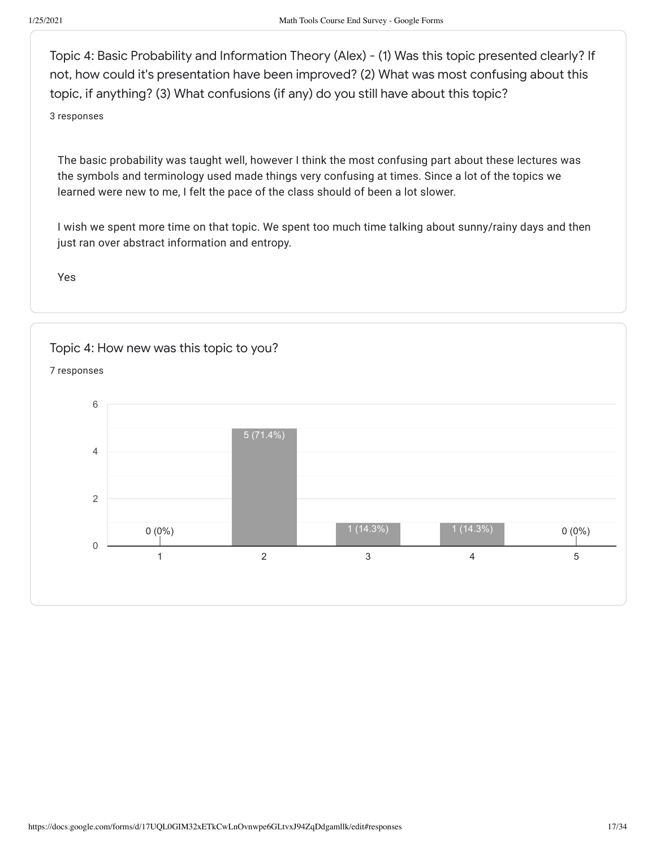Topic 4: Basic Probability and Information Theory (Alex) - (1) Was this topic presented clearly? If not, how could it's presentation have been improved? (2) What was most confusing about this topic, if anything? (3) What confusions (if any) do you still have about this topic?

3 responses

The basic probability was taught well, however I think the most confusing part about these lectures was the symbols and terminology used made things very confusing at times. Since a lot of the topics we learned were new to me, I felt the pace of the class should of been a lot slower.

I wish we spent more time on that topic. We spent too much time talking about sunny/rainy days and then just ran over abstract information and entropy.

Yes

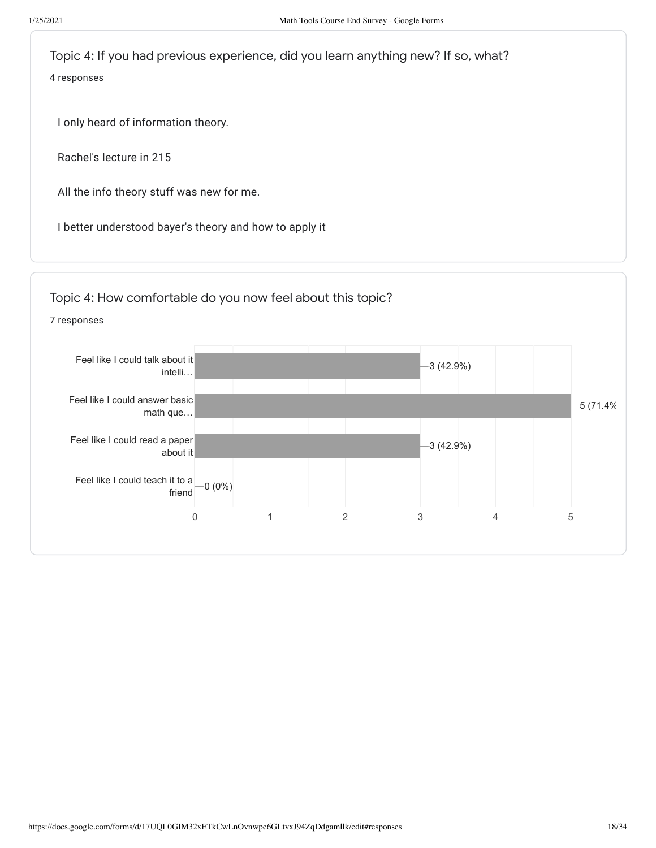Topic 4: If you had previous experience, did you learn anything new? If so, what? 4 responses

I only heard of information theory.

Rachel's lecture in 215

All the info theory stuff was new for me.

I better understood bayer's theory and how to apply it



7 responses

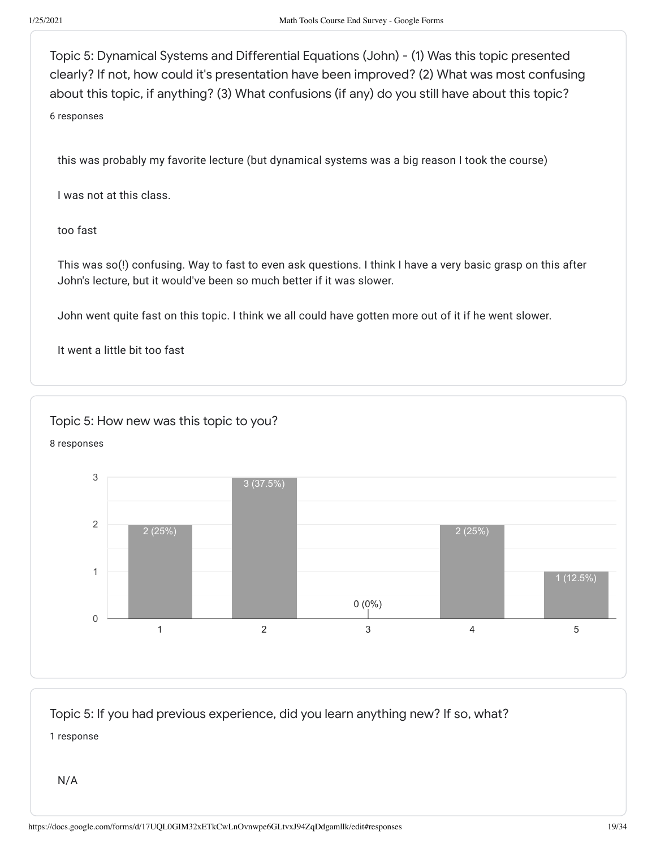Topic 5: Dynamical Systems and Differential Equations (John) - (1) Was this topic presented clearly? If not, how could it's presentation have been improved? (2) What was most confusing about this topic, if anything? (3) What confusions (if any) do you still have about this topic? 6 responses

this was probably my favorite lecture (but dynamical systems was a big reason I took the course)

I was not at this class.

too fast

This was so(!) confusing. Way to fast to even ask questions. I think I have a very basic grasp on this after John's lecture, but it would've been so much better if it was slower.

John went quite fast on this topic. I think we all could have gotten more out of it if he went slower.

It went a little bit too fast

# Topic 5: How new was this topic to you?





Topic 5: If you had previous experience, did you learn anything new? If so, what?

1 response

N/A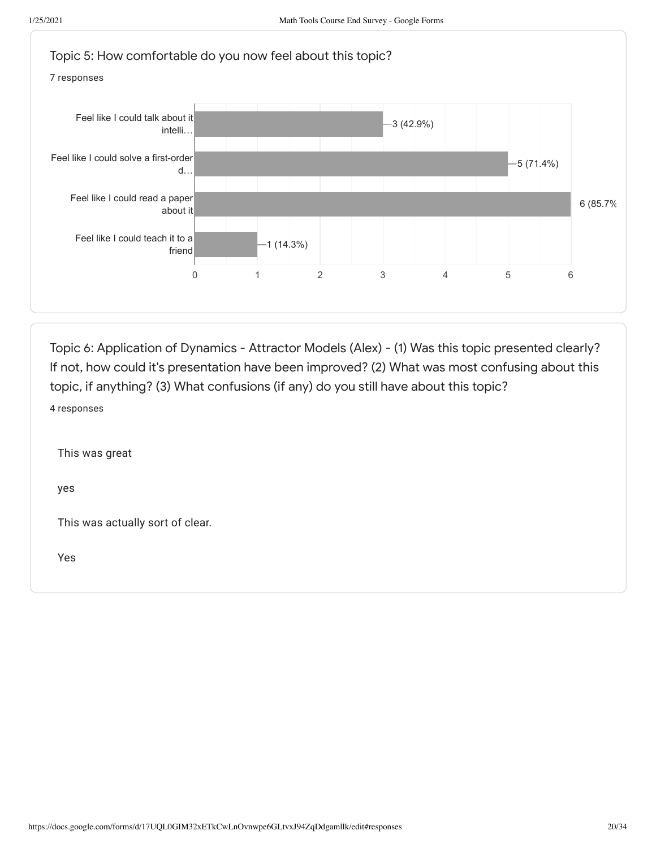

Topic 6: Application of Dynamics - Attractor Models (Alex) - (1) Was this topic presented clearly? If not, how could it's presentation have been improved? (2) What was most confusing about this topic, if anything? (3) What confusions (if any) do you still have about this topic? 4 responses

This was great

yes

This was actually sort of clear.

Yes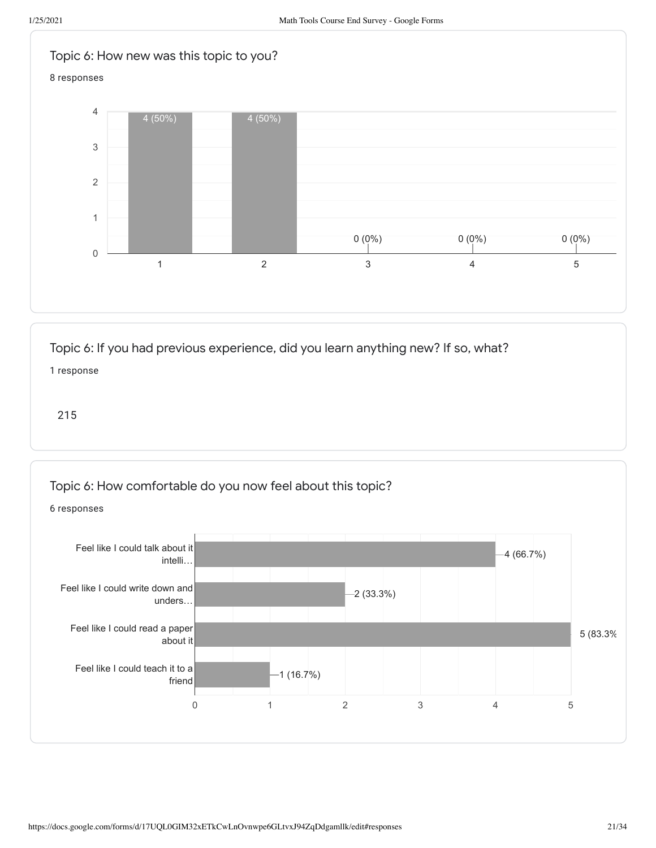

# Topic 6: If you had previous experience, did you learn anything new? If so, what?

1 response

215

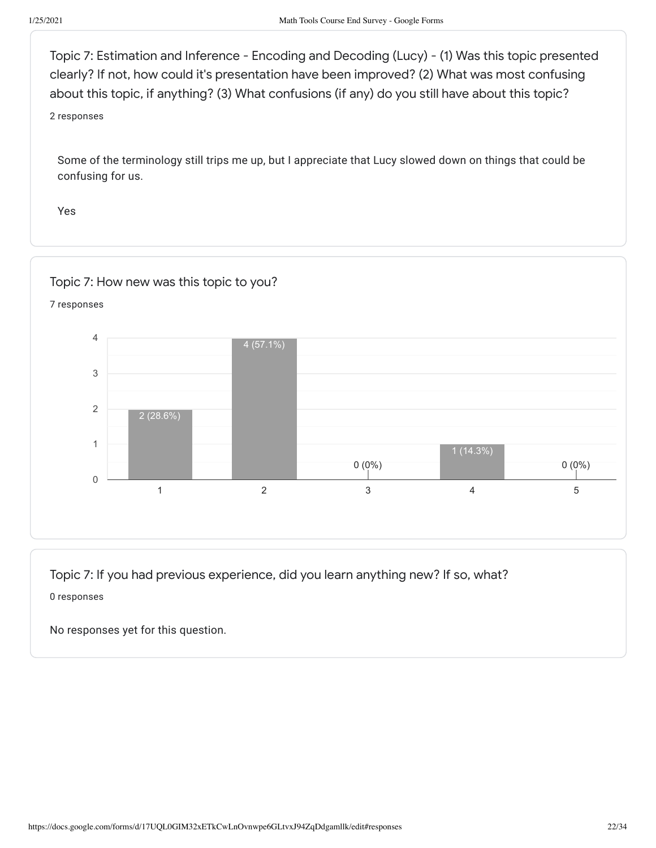Topic 7: Estimation and Inference - Encoding and Decoding (Lucy) - (1) Was this topic presented clearly? If not, how could it's presentation have been improved? (2) What was most confusing about this topic, if anything? (3) What confusions (if any) do you still have about this topic?

2 responses

Some of the terminology still trips me up, but I appreciate that Lucy slowed down on things that could be confusing for us.

Yes



Topic 7: If you had previous experience, did you learn anything new? If so, what? 0 responses

No responses yet for this question.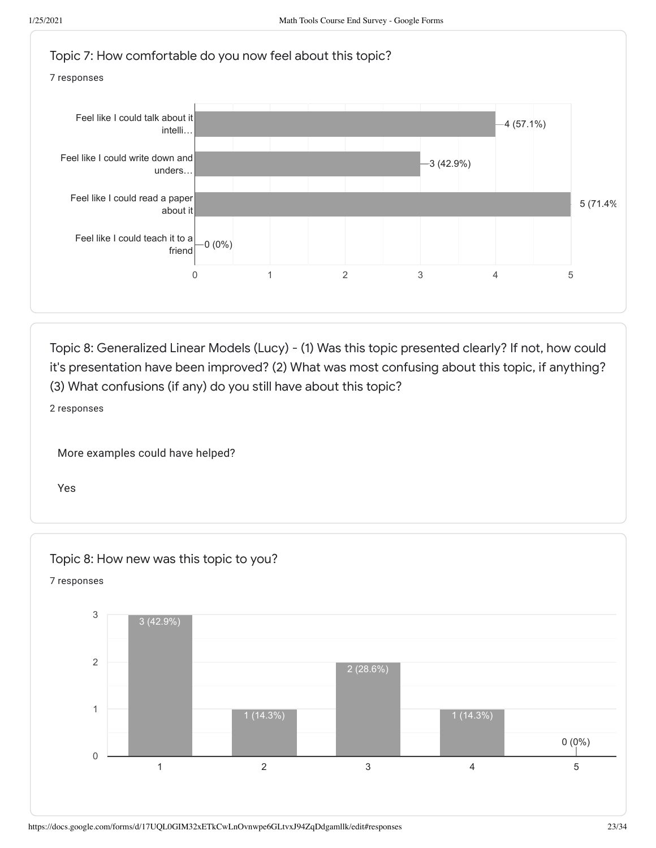

Topic 8: Generalized Linear Models (Lucy) - (1) Was this topic presented clearly? If not, how could it's presentation have been improved? (2) What was most confusing about this topic, if anything? (3) What confusions (if any) do you still have about this topic?

2 responses

More examples could have helped?

Yes

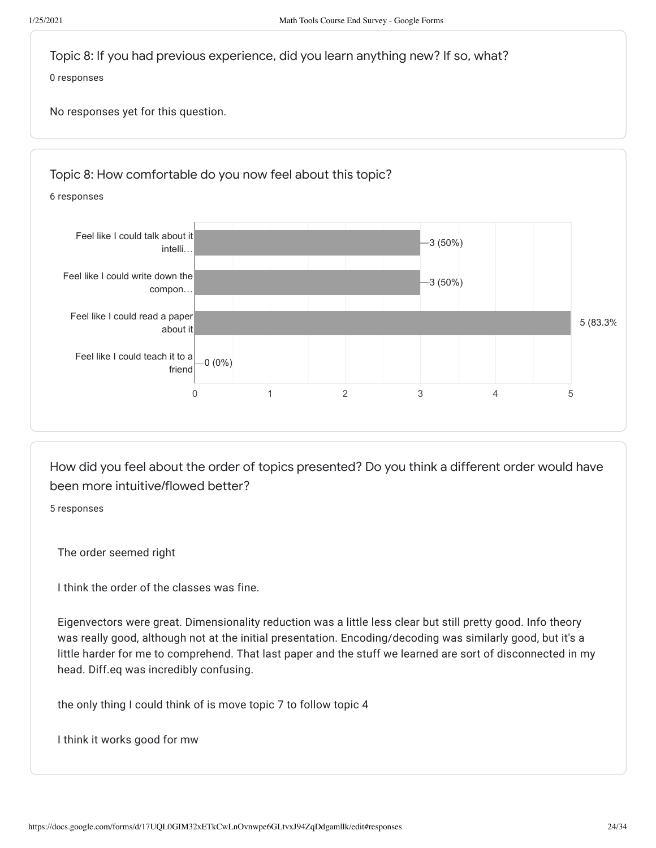



How did you feel about the order of topics presented? Do you think a different order would have been more intuitive/flowed better?

5 responses

The order seemed right

I think the order of the classes was fine.

Eigenvectors were great. Dimensionality reduction was a little less clear but still pretty good. Info theory was really good, although not at the initial presentation. Encoding/decoding was similarly good, but it's a little harder for me to comprehend. That last paper and the stuff we learned are sort of disconnected in my head. Diff.eq was incredibly confusing.

the only thing I could think of is move topic 7 to follow topic 4

I think it works good for mw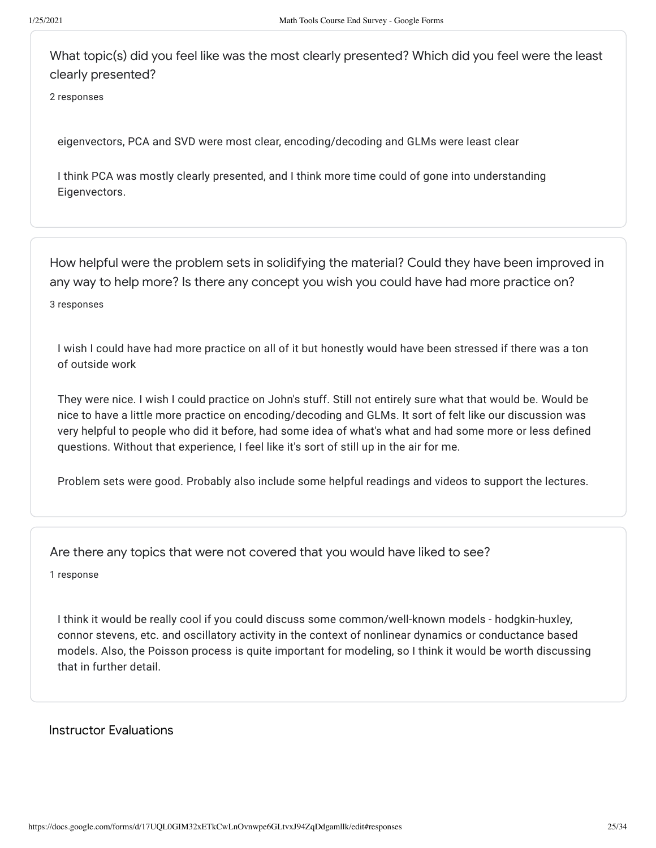What topic(s) did you feel like was the most clearly presented? Which did you feel were the least clearly presented?

2 responses

eigenvectors, PCA and SVD were most clear, encoding/decoding and GLMs were least clear

I think PCA was mostly clearly presented, and I think more time could of gone into understanding Eigenvectors.

How helpful were the problem sets in solidifying the material? Could they have been improved in any way to help more? Is there any concept you wish you could have had more practice on?

3 responses

I wish I could have had more practice on all of it but honestly would have been stressed if there was a ton of outside work

They were nice. I wish I could practice on John's stuff. Still not entirely sure what that would be. Would be nice to have a little more practice on encoding/decoding and GLMs. It sort of felt like our discussion was very helpful to people who did it before, had some idea of what's what and had some more or less defined questions. Without that experience, I feel like it's sort of still up in the air for me.

Problem sets were good. Probably also include some helpful readings and videos to support the lectures.

Are there any topics that were not covered that you would have liked to see?

1 response

I think it would be really cool if you could discuss some common/well-known models - hodgkin-huxley, connor stevens, etc. and oscillatory activity in the context of nonlinear dynamics or conductance based models. Also, the Poisson process is quite important for modeling, so I think it would be worth discussing that in further detail.

# Instructor Evaluations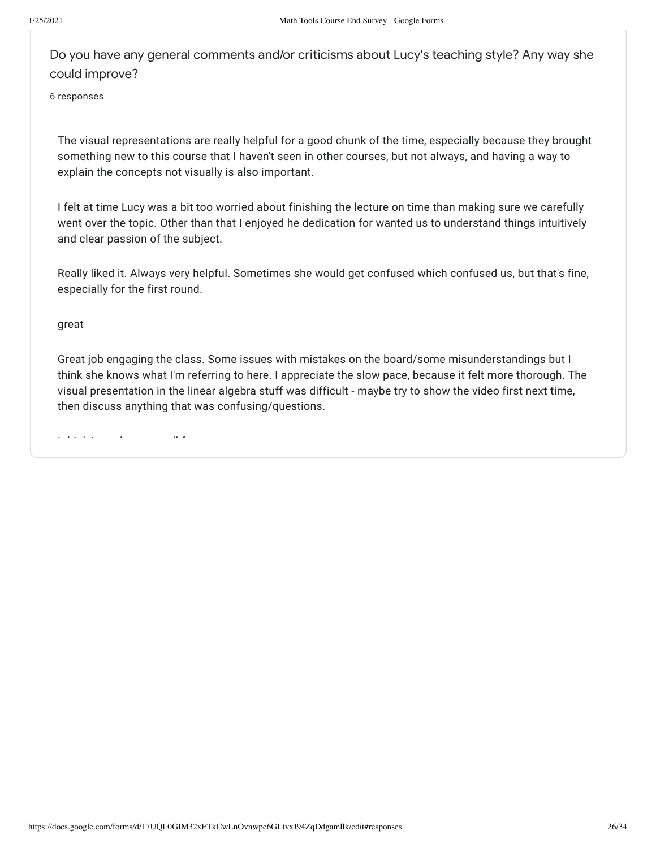Do you have any general comments and/or criticisms about Lucy's teaching style? Any way she could improve?

6 responses

The visual representations are really helpful for a good chunk of the time, especially because they brought something new to this course that I haven't seen in other courses, but not always, and having a way to explain the concepts not visually is also important.

I felt at time Lucy was a bit too worried about finishing the lecture on time than making sure we carefully went over the topic. Other than that I enjoyed he dedication for wanted us to understand things intuitively and clear passion of the subject.

Really liked it. Always very helpful. Sometimes she would get confused which confused us, but that's fine, especially for the first round.

great

Great job engaging the class. Some issues with mistakes on the board/some misunderstandings but I think she knows what I'm referring to here. I appreciate the slow pace, because it felt more thorough. The visual presentation in the linear algebra stuff was difficult - maybe try to show the video first next time, then discuss anything that was confusing/questions.

I thi k it k ll f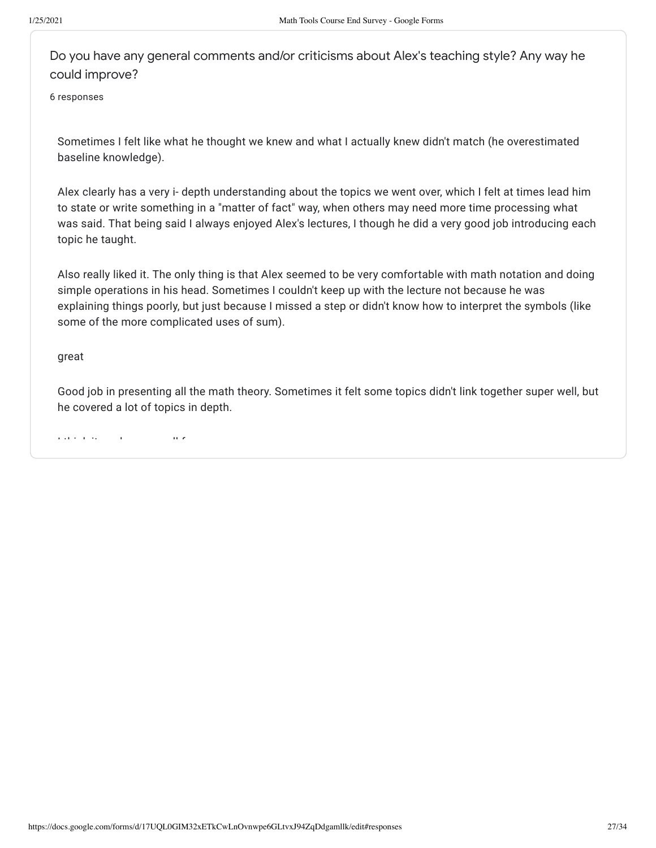Do you have any general comments and/or criticisms about Alex's teaching style? Any way he could improve?

6 responses

Sometimes I felt like what he thought we knew and what I actually knew didn't match (he overestimated baseline knowledge).

Alex clearly has a very i- depth understanding about the topics we went over, which I felt at times lead him to state or write something in a "matter of fact" way, when others may need more time processing what was said. That being said I always enjoyed Alex's lectures, I though he did a very good job introducing each topic he taught.

Also really liked it. The only thing is that Alex seemed to be very comfortable with math notation and doing simple operations in his head. Sometimes I couldn't keep up with the lecture not because he was explaining things poorly, but just because I missed a step or didn't know how to interpret the symbols (like some of the more complicated uses of sum).

great

Good job in presenting all the math theory. Sometimes it felt some topics didn't link together super well, but he covered a lot of topics in depth.

I thi k it k ll f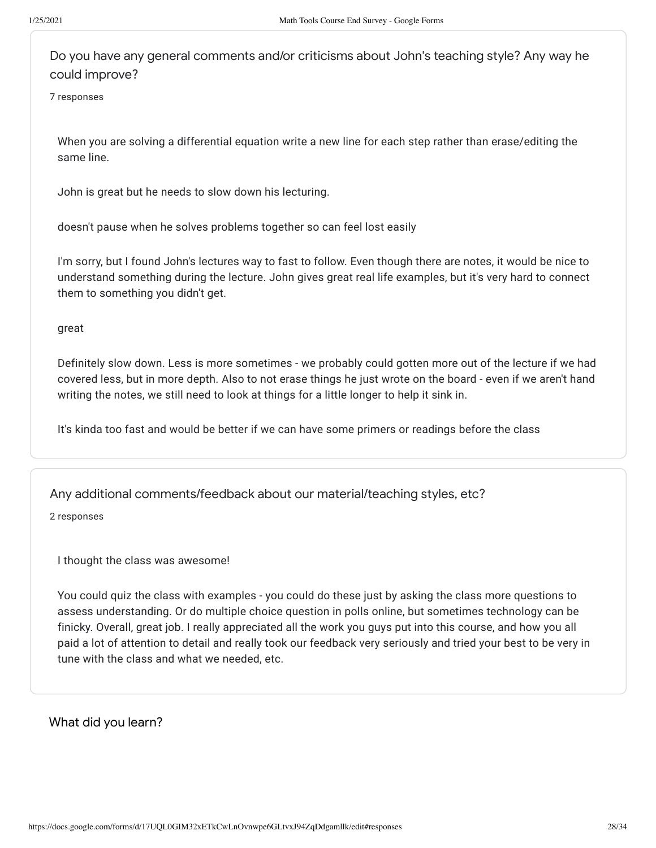Do you have any general comments and/or criticisms about John's teaching style? Any way he could improve?

7 responses

When you are solving a differential equation write a new line for each step rather than erase/editing the same line.

John is great but he needs to slow down his lecturing.

doesn't pause when he solves problems together so can feel lost easily

I'm sorry, but I found John's lectures way to fast to follow. Even though there are notes, it would be nice to understand something during the lecture. John gives great real life examples, but it's very hard to connect them to something you didn't get.

great

Definitely slow down. Less is more sometimes - we probably could gotten more out of the lecture if we had covered less, but in more depth. Also to not erase things he just wrote on the board - even if we aren't hand writing the notes, we still need to look at things for a little longer to help it sink in.

It's kinda too fast and would be better if we can have some primers or readings before the class

## Any additional comments/feedback about our material/teaching styles, etc?

2 responses

I thought the class was awesome!

You could quiz the class with examples - you could do these just by asking the class more questions to assess understanding. Or do multiple choice question in polls online, but sometimes technology can be finicky. Overall, great job. I really appreciated all the work you guys put into this course, and how you all paid a lot of attention to detail and really took our feedback very seriously and tried your best to be very in tune with the class and what we needed, etc.

What did you learn?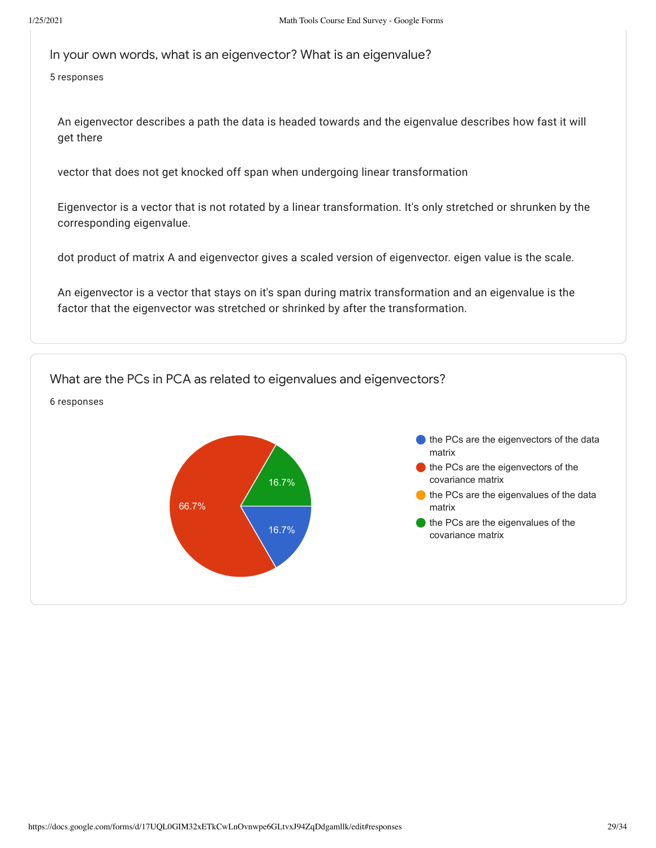In your own words, what is an eigenvector? What is an eigenvalue?

5 responses

An eigenvector describes a path the data is headed towards and the eigenvalue describes how fast it will get there

vector that does not get knocked off span when undergoing linear transformation

Eigenvector is a vector that is not rotated by a linear transformation. It's only stretched or shrunken by the corresponding eigenvalue.

dot product of matrix A and eigenvector gives a scaled version of eigenvector. eigen value is the scale.

An eigenvector is a vector that stays on it's span during matrix transformation and an eigenvalue is the factor that the eigenvector was stretched or shrinked by after the transformation.

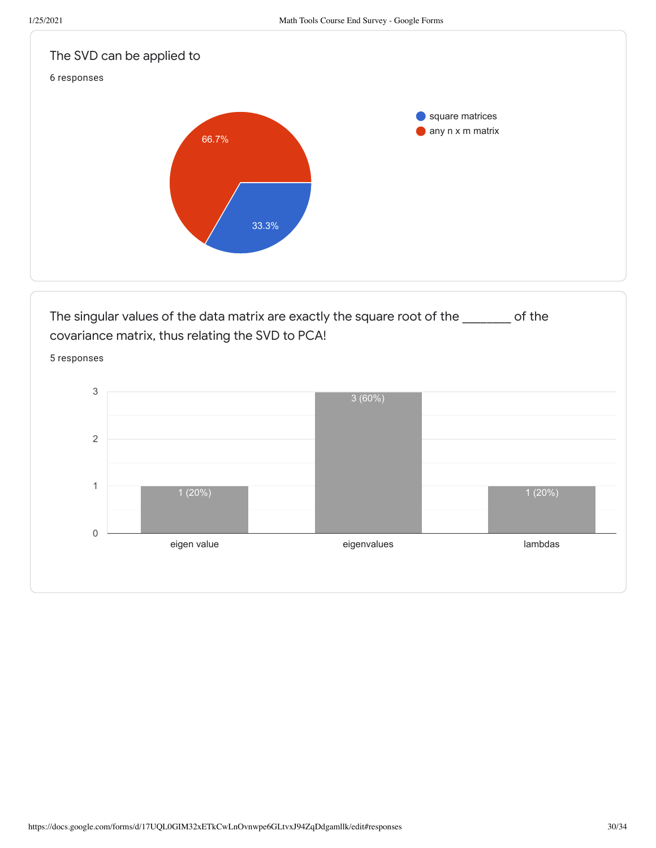0

1



eigen value eigenvalues beigenvalues and eigenvalues and eigenvalues beigenvalues bei dem behandliche eigenvalues

1 (20%)

1 (20%)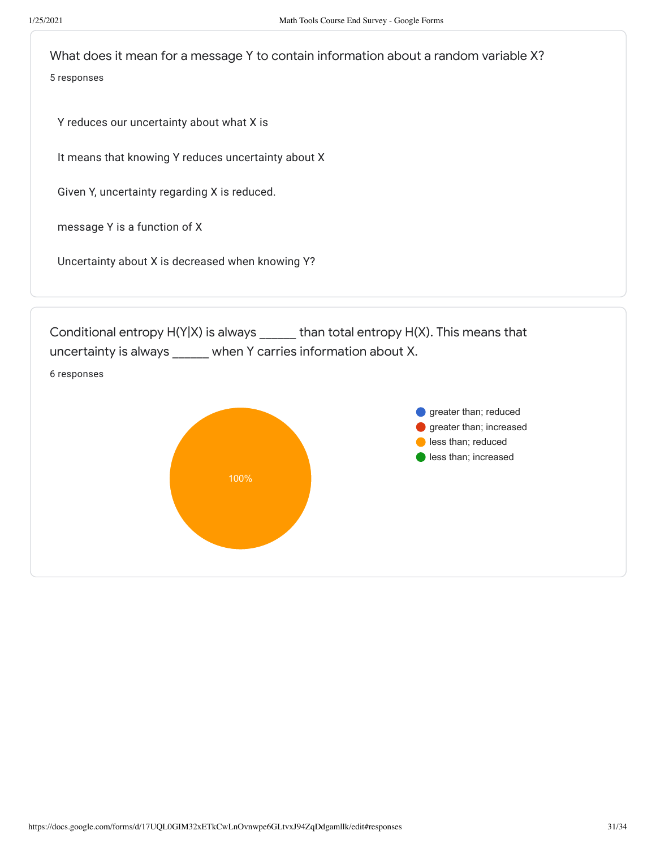What does it mean for a message Y to contain information about a random variable X? 5 responses

Y reduces our uncertainty about what X is

It means that knowing Y reduces uncertainty about X

Given Y, uncertainty regarding X is reduced.

message Y is a function of X

Uncertainty about X is decreased when knowing Y?

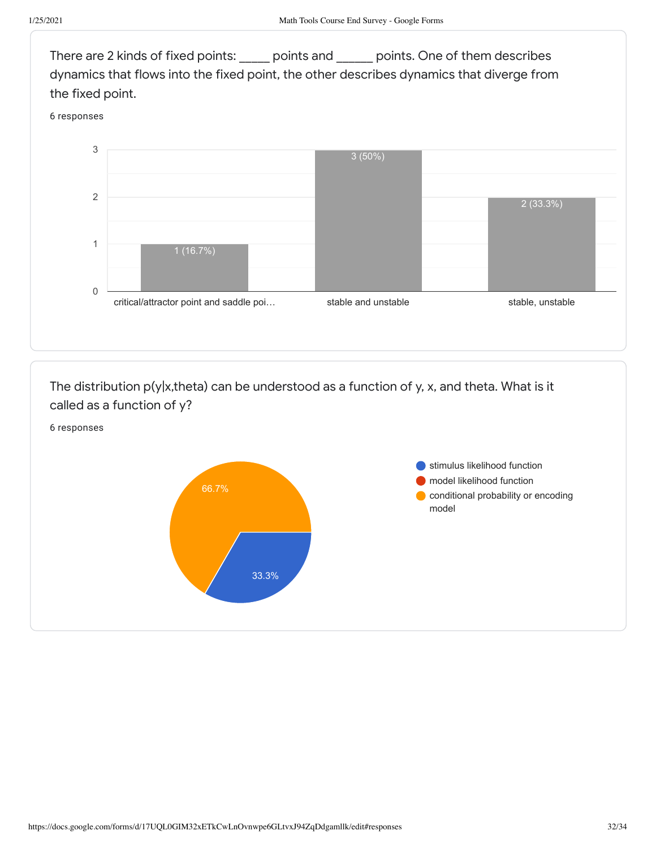

The distribution p(y|x,theta) can be understood as a function of y, x, and theta. What is it called as a function of y?

6 responses

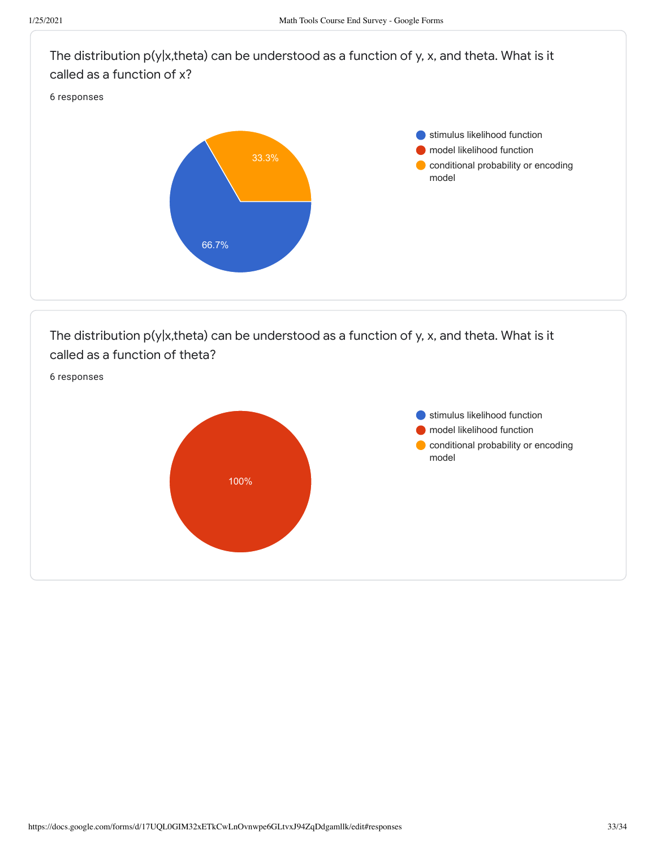

The distribution p(y|x,theta) can be understood as a function of y, x, and theta. What is it called as a function of theta?